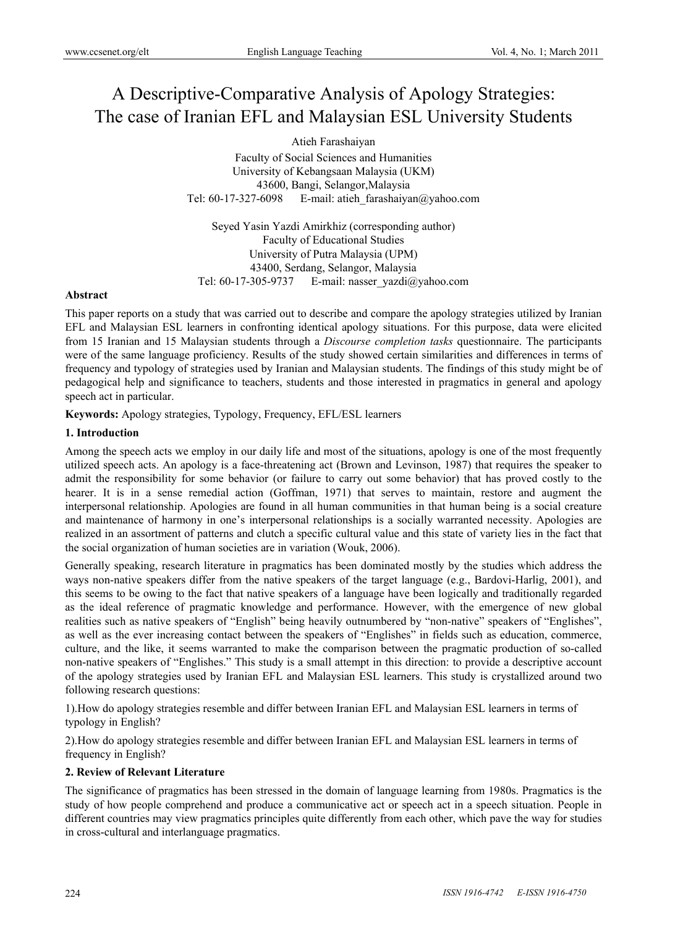# A Descriptive-Comparative Analysis of Apology Strategies: The case of Iranian EFL and Malaysian ESL University Students

Atieh Farashaiyan

Faculty of Social Sciences and Humanities University of Kebangsaan Malaysia (UKM) 43600, Bangi, Selangor,Malaysia Tel: 60-17-327-6098 E-mail: atieh\_farashaiyan@yahoo.com

Seyed Yasin Yazdi Amirkhiz (corresponding author) Faculty of Educational Studies University of Putra Malaysia (UPM) 43400, Serdang, Selangor, Malaysia Tel: 60-17-305-9737 E-mail: nasser\_yazdi@yahoo.com

## **Abstract**

This paper reports on a study that was carried out to describe and compare the apology strategies utilized by Iranian EFL and Malaysian ESL learners in confronting identical apology situations. For this purpose, data were elicited from 15 Iranian and 15 Malaysian students through a *Discourse completion tasks* questionnaire. The participants were of the same language proficiency. Results of the study showed certain similarities and differences in terms of frequency and typology of strategies used by Iranian and Malaysian students. The findings of this study might be of pedagogical help and significance to teachers, students and those interested in pragmatics in general and apology speech act in particular.

**Keywords:** Apology strategies, Typology, Frequency, EFL/ESL learners

# **1. Introduction**

Among the speech acts we employ in our daily life and most of the situations, apology is one of the most frequently utilized speech acts. An apology is a face-threatening act (Brown and Levinson, 1987) that requires the speaker to admit the responsibility for some behavior (or failure to carry out some behavior) that has proved costly to the hearer. It is in a sense remedial action (Goffman, 1971) that serves to maintain, restore and augment the interpersonal relationship. Apologies are found in all human communities in that human being is a social creature and maintenance of harmony in one's interpersonal relationships is a socially warranted necessity. Apologies are realized in an assortment of patterns and clutch a specific cultural value and this state of variety lies in the fact that the social organization of human societies are in variation (Wouk, 2006).

Generally speaking, research literature in pragmatics has been dominated mostly by the studies which address the ways non-native speakers differ from the native speakers of the target language (e.g., Bardovi-Harlig, 2001), and this seems to be owing to the fact that native speakers of a language have been logically and traditionally regarded as the ideal reference of pragmatic knowledge and performance. However, with the emergence of new global realities such as native speakers of "English" being heavily outnumbered by "non-native" speakers of "Englishes", as well as the ever increasing contact between the speakers of "Englishes" in fields such as education, commerce, culture, and the like, it seems warranted to make the comparison between the pragmatic production of so-called non-native speakers of "Englishes." This study is a small attempt in this direction: to provide a descriptive account of the apology strategies used by Iranian EFL and Malaysian ESL learners. This study is crystallized around two following research questions:

1).How do apology strategies resemble and differ between Iranian EFL and Malaysian ESL learners in terms of typology in English?

2).How do apology strategies resemble and differ between Iranian EFL and Malaysian ESL learners in terms of frequency in English?

# **2. Review of Relevant Literature**

The significance of pragmatics has been stressed in the domain of language learning from 1980s. Pragmatics is the study of how people comprehend and produce a communicative act or speech act in a speech situation. People in different countries may view pragmatics principles quite differently from each other, which pave the way for studies in cross-cultural and interlanguage pragmatics.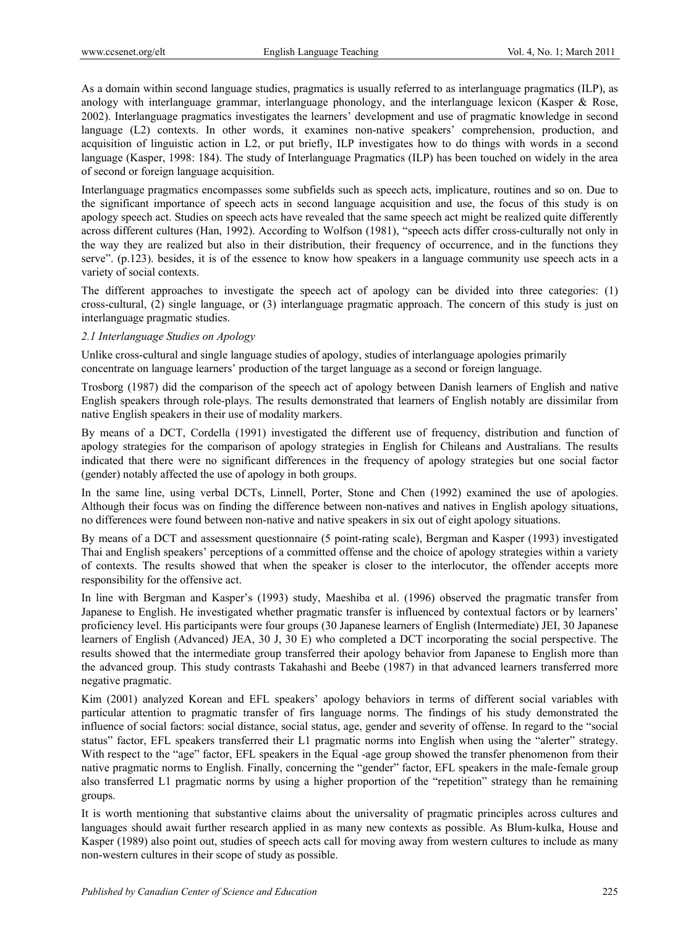As a domain within second language studies, pragmatics is usually referred to as interlanguage pragmatics (ILP), as anology with interlanguage grammar, interlanguage phonology, and the interlanguage lexicon (Kasper & Rose, 2002). Interlanguage pragmatics investigates the learners' development and use of pragmatic knowledge in second language (L2) contexts. In other words, it examines non-native speakers' comprehension, production, and acquisition of linguistic action in L2, or put briefly, ILP investigates how to do things with words in a second language (Kasper, 1998: 184). The study of Interlanguage Pragmatics (ILP) has been touched on widely in the area of second or foreign language acquisition.

Interlanguage pragmatics encompasses some subfields such as speech acts, implicature, routines and so on. Due to the significant importance of speech acts in second language acquisition and use, the focus of this study is on apology speech act. Studies on speech acts have revealed that the same speech act might be realized quite differently across different cultures (Han, 1992). According to Wolfson (1981), "speech acts differ cross-culturally not only in the way they are realized but also in their distribution, their frequency of occurrence, and in the functions they serve". (p.123). besides, it is of the essence to know how speakers in a language community use speech acts in a variety of social contexts.

The different approaches to investigate the speech act of apology can be divided into three categories: (1) cross-cultural, (2) single language, or (3) interlanguage pragmatic approach. The concern of this study is just on interlanguage pragmatic studies.

## *2.1 Interlanguage Studies on Apology*

Unlike cross-cultural and single language studies of apology, studies of interlanguage apologies primarily concentrate on language learners' production of the target language as a second or foreign language.

Trosborg (1987) did the comparison of the speech act of apology between Danish learners of English and native English speakers through role-plays. The results demonstrated that learners of English notably are dissimilar from native English speakers in their use of modality markers.

By means of a DCT, Cordella (1991) investigated the different use of frequency, distribution and function of apology strategies for the comparison of apology strategies in English for Chileans and Australians. The results indicated that there were no significant differences in the frequency of apology strategies but one social factor (gender) notably affected the use of apology in both groups.

In the same line, using verbal DCTs, Linnell, Porter, Stone and Chen (1992) examined the use of apologies. Although their focus was on finding the difference between non-natives and natives in English apology situations, no differences were found between non-native and native speakers in six out of eight apology situations.

By means of a DCT and assessment questionnaire (5 point-rating scale), Bergman and Kasper (1993) investigated Thai and English speakers' perceptions of a committed offense and the choice of apology strategies within a variety of contexts. The results showed that when the speaker is closer to the interlocutor, the offender accepts more responsibility for the offensive act.

In line with Bergman and Kasper's (1993) study, Maeshiba et al. (1996) observed the pragmatic transfer from Japanese to English. He investigated whether pragmatic transfer is influenced by contextual factors or by learners' proficiency level. His participants were four groups (30 Japanese learners of English (Intermediate) JEI, 30 Japanese learners of English (Advanced) JEA, 30 J, 30 E) who completed a DCT incorporating the social perspective. The results showed that the intermediate group transferred their apology behavior from Japanese to English more than the advanced group. This study contrasts Takahashi and Beebe (1987) in that advanced learners transferred more negative pragmatic.

Kim (2001) analyzed Korean and EFL speakers' apology behaviors in terms of different social variables with particular attention to pragmatic transfer of firs language norms. The findings of his study demonstrated the influence of social factors: social distance, social status, age, gender and severity of offense. In regard to the "social status" factor, EFL speakers transferred their L1 pragmatic norms into English when using the "alerter" strategy. With respect to the "age" factor, EFL speakers in the Equal -age group showed the transfer phenomenon from their native pragmatic norms to English. Finally, concerning the "gender" factor, EFL speakers in the male-female group also transferred L1 pragmatic norms by using a higher proportion of the "repetition" strategy than he remaining groups.

It is worth mentioning that substantive claims about the universality of pragmatic principles across cultures and languages should await further research applied in as many new contexts as possible. As Blum-kulka, House and Kasper (1989) also point out, studies of speech acts call for moving away from western cultures to include as many non-western cultures in their scope of study as possible.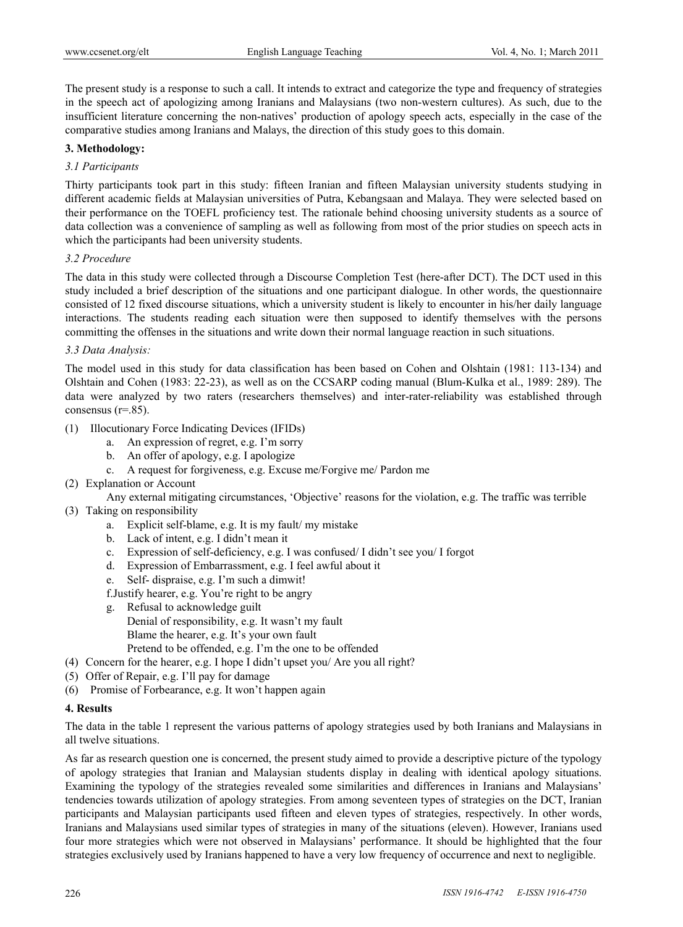The present study is a response to such a call. It intends to extract and categorize the type and frequency of strategies in the speech act of apologizing among Iranians and Malaysians (two non-western cultures). As such, due to the insufficient literature concerning the non-natives' production of apology speech acts, especially in the case of the comparative studies among Iranians and Malays, the direction of this study goes to this domain.

#### **3. Methodology:**

#### *3.1 Participants*

Thirty participants took part in this study: fifteen Iranian and fifteen Malaysian university students studying in different academic fields at Malaysian universities of Putra, Kebangsaan and Malaya. They were selected based on their performance on the TOEFL proficiency test. The rationale behind choosing university students as a source of data collection was a convenience of sampling as well as following from most of the prior studies on speech acts in which the participants had been university students.

#### *3.2 Procedure*

The data in this study were collected through a Discourse Completion Test (here-after DCT). The DCT used in this study included a brief description of the situations and one participant dialogue. In other words, the questionnaire consisted of 12 fixed discourse situations, which a university student is likely to encounter in his/her daily language interactions. The students reading each situation were then supposed to identify themselves with the persons committing the offenses in the situations and write down their normal language reaction in such situations.

#### *3.3 Data Analysis:*

The model used in this study for data classification has been based on Cohen and Olshtain (1981: 113-134) and Olshtain and Cohen (1983: 22-23), as well as on the CCSARP coding manual (Blum-Kulka et al., 1989: 289). The data were analyzed by two raters (researchers themselves) and inter-rater-reliability was established through consensus  $(r=.85)$ .

- (1) Illocutionary Force Indicating Devices (IFIDs)
	- a. An expression of regret, e.g. I'm sorry
	- b. An offer of apology, e.g. I apologize
	- c. A request for forgiveness, e.g. Excuse me/Forgive me/ Pardon me
- (2) Explanation or Account

Any external mitigating circumstances, 'Objective' reasons for the violation, e.g. The traffic was terrible

- (3) Taking on responsibility
	- a. Explicit self-blame, e.g. It is my fault/ my mistake
	- b. Lack of intent, e.g. I didn't mean it
	- c. Expression of self-deficiency, e.g. I was confused/ I didn't see you/ I forgot
	- d. Expression of Embarrassment, e.g. I feel awful about it
	- e. Self- dispraise, e.g. I'm such a dimwit!
	- f.Justify hearer, e.g. You're right to be angry
	- g. Refusal to acknowledge guilt
		- Denial of responsibility, e.g. It wasn't my fault
			- Blame the hearer, e.g. It's your own fault
		- Pretend to be offended, e.g. I'm the one to be offended
- (4) Concern for the hearer, e.g. I hope I didn't upset you/ Are you all right?
- (5) Offer of Repair, e.g. I'll pay for damage
- (6) Promise of Forbearance, e.g. It won't happen again

#### **4. Results**

The data in the table 1 represent the various patterns of apology strategies used by both Iranians and Malaysians in all twelve situations.

As far as research question one is concerned, the present study aimed to provide a descriptive picture of the typology of apology strategies that Iranian and Malaysian students display in dealing with identical apology situations. Examining the typology of the strategies revealed some similarities and differences in Iranians and Malaysians' tendencies towards utilization of apology strategies. From among seventeen types of strategies on the DCT, Iranian participants and Malaysian participants used fifteen and eleven types of strategies, respectively. In other words, Iranians and Malaysians used similar types of strategies in many of the situations (eleven). However, Iranians used four more strategies which were not observed in Malaysians' performance. It should be highlighted that the four strategies exclusively used by Iranians happened to have a very low frequency of occurrence and next to negligible.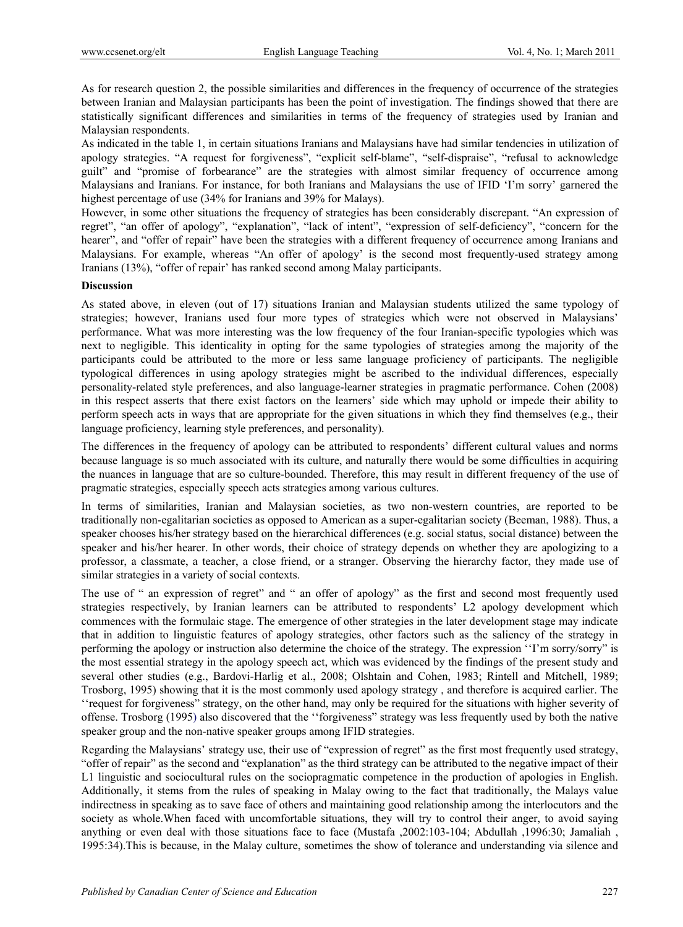As for research question 2, the possible similarities and differences in the frequency of occurrence of the strategies between Iranian and Malaysian participants has been the point of investigation. The findings showed that there are statistically significant differences and similarities in terms of the frequency of strategies used by Iranian and Malaysian respondents.

As indicated in the table 1, in certain situations Iranians and Malaysians have had similar tendencies in utilization of apology strategies. "A request for forgiveness", "explicit self-blame", "self-dispraise", "refusal to acknowledge guilt" and "promise of forbearance" are the strategies with almost similar frequency of occurrence among Malaysians and Iranians. For instance, for both Iranians and Malaysians the use of IFID 'I'm sorry' garnered the highest percentage of use (34% for Iranians and 39% for Malays).

However, in some other situations the frequency of strategies has been considerably discrepant. "An expression of regret", "an offer of apology", "explanation", "lack of intent", "expression of self-deficiency", "concern for the hearer", and "offer of repair" have been the strategies with a different frequency of occurrence among Iranians and Malaysians. For example, whereas "An offer of apology' is the second most frequently-used strategy among Iranians (13%), "offer of repair' has ranked second among Malay participants.

#### **Discussion**

As stated above, in eleven (out of 17) situations Iranian and Malaysian students utilized the same typology of strategies; however, Iranians used four more types of strategies which were not observed in Malaysians' performance. What was more interesting was the low frequency of the four Iranian-specific typologies which was next to negligible. This identicality in opting for the same typologies of strategies among the majority of the participants could be attributed to the more or less same language proficiency of participants. The negligible typological differences in using apology strategies might be ascribed to the individual differences, especially personality-related style preferences, and also language-learner strategies in pragmatic performance. Cohen (2008) in this respect asserts that there exist factors on the learners' side which may uphold or impede their ability to perform speech acts in ways that are appropriate for the given situations in which they find themselves (e.g., their language proficiency, learning style preferences, and personality).

The differences in the frequency of apology can be attributed to respondents' different cultural values and norms because language is so much associated with its culture, and naturally there would be some difficulties in acquiring the nuances in language that are so culture-bounded. Therefore, this may result in different frequency of the use of pragmatic strategies, especially speech acts strategies among various cultures.

In terms of similarities, Iranian and Malaysian societies, as two non-western countries, are reported to be traditionally non-egalitarian societies as opposed to American as a super-egalitarian society (Beeman, 1988). Thus, a speaker chooses his/her strategy based on the hierarchical differences (e.g. social status, social distance) between the speaker and his/her hearer. In other words, their choice of strategy depends on whether they are apologizing to a professor, a classmate, a teacher, a close friend, or a stranger. Observing the hierarchy factor, they made use of similar strategies in a variety of social contexts.

The use of " an expression of regret" and " an offer of apology" as the first and second most frequently used strategies respectively, by Iranian learners can be attributed to respondents' L2 apology development which commences with the formulaic stage. The emergence of other strategies in the later development stage may indicate that in addition to linguistic features of apology strategies, other factors such as the saliency of the strategy in performing the apology or instruction also determine the choice of the strategy. The expression ''I'm sorry/sorry" is the most essential strategy in the apology speech act, which was evidenced by the findings of the present study and several other studies (e.g., Bardovi-Harlig et al., 2008; Olshtain and Cohen, 1983; Rintell and Mitchell, 1989; Trosborg, 1995) showing that it is the most commonly used apology strategy , and therefore is acquired earlier. The ''request for forgiveness" strategy, on the other hand, may only be required for the situations with higher severity of offense. Trosborg (1995) also discovered that the ''forgiveness" strategy was less frequently used by both the native speaker group and the non-native speaker groups among IFID strategies.

Regarding the Malaysians' strategy use, their use of "expression of regret" as the first most frequently used strategy, "offer of repair" as the second and "explanation" as the third strategy can be attributed to the negative impact of their L1 linguistic and sociocultural rules on the sociopragmatic competence in the production of apologies in English. Additionally, it stems from the rules of speaking in Malay owing to the fact that traditionally, the Malays value indirectness in speaking as to save face of others and maintaining good relationship among the interlocutors and the society as whole. When faced with uncomfortable situations, they will try to control their anger, to avoid saying anything or even deal with those situations face to face (Mustafa ,2002:103-104; Abdullah ,1996:30; Jamaliah , 1995:34).This is because, in the Malay culture, sometimes the show of tolerance and understanding via silence and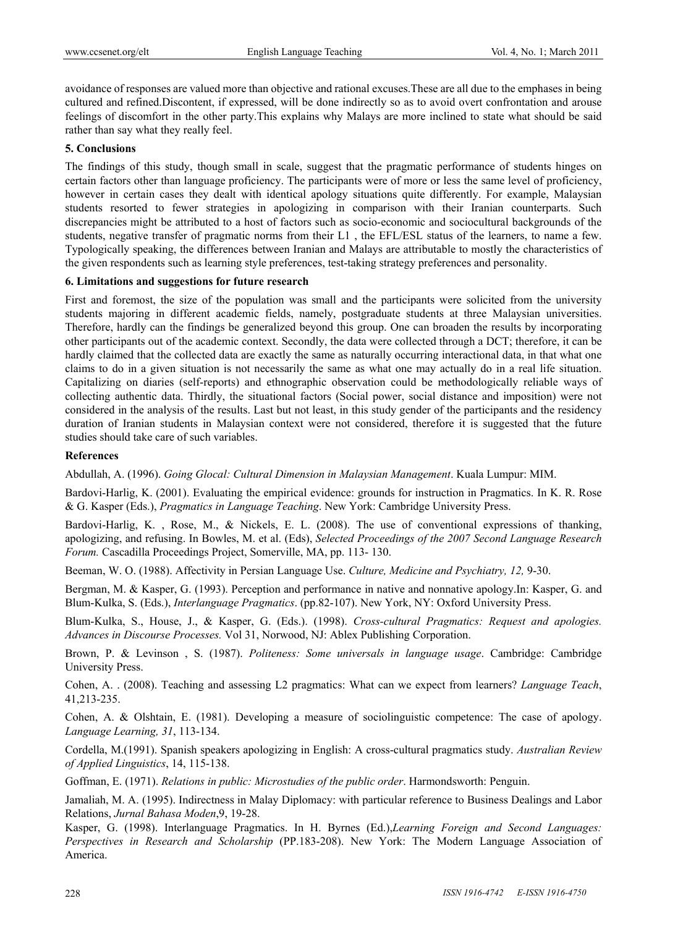avoidance of responses are valued more than objective and rational excuses.These are all due to the emphases in being cultured and refined.Discontent, if expressed, will be done indirectly so as to avoid overt confrontation and arouse feelings of discomfort in the other party.This explains why Malays are more inclined to state what should be said rather than say what they really feel.

#### **5. Conclusions**

The findings of this study, though small in scale, suggest that the pragmatic performance of students hinges on certain factors other than language proficiency. The participants were of more or less the same level of proficiency, however in certain cases they dealt with identical apology situations quite differently. For example, Malaysian students resorted to fewer strategies in apologizing in comparison with their Iranian counterparts. Such discrepancies might be attributed to a host of factors such as socio-economic and sociocultural backgrounds of the students, negative transfer of pragmatic norms from their L1 , the EFL/ESL status of the learners, to name a few. Typologically speaking, the differences between Iranian and Malays are attributable to mostly the characteristics of the given respondents such as learning style preferences, test-taking strategy preferences and personality.

# **6. Limitations and suggestions for future research**

First and foremost, the size of the population was small and the participants were solicited from the university students majoring in different academic fields, namely, postgraduate students at three Malaysian universities. Therefore, hardly can the findings be generalized beyond this group. One can broaden the results by incorporating other participants out of the academic context. Secondly, the data were collected through a DCT; therefore, it can be hardly claimed that the collected data are exactly the same as naturally occurring interactional data, in that what one claims to do in a given situation is not necessarily the same as what one may actually do in a real life situation. Capitalizing on diaries (self-reports) and ethnographic observation could be methodologically reliable ways of collecting authentic data. Thirdly, the situational factors (Social power, social distance and imposition) were not considered in the analysis of the results. Last but not least, in this study gender of the participants and the residency duration of Iranian students in Malaysian context were not considered, therefore it is suggested that the future studies should take care of such variables.

## **References**

Abdullah, A. (1996). *Going Glocal: Cultural Dimension in Malaysian Management*. Kuala Lumpur: MIM.

Bardovi-Harlig, K. (2001). Evaluating the empirical evidence: grounds for instruction in Pragmatics. In K. R. Rose & G. Kasper (Eds.), *Pragmatics in Language Teaching*. New York: Cambridge University Press.

Bardovi-Harlig, K. , Rose, M., & Nickels, E. L. (2008). The use of conventional expressions of thanking, apologizing, and refusing. In Bowles, M. et al. (Eds), *Selected Proceedings of the 2007 Second Language Research Forum.* Cascadilla Proceedings Project, Somerville, MA, pp. 113- 130.

Beeman, W. O. (1988). Affectivity in Persian Language Use. *Culture, Medicine and Psychiatry, 12,* 9-30.

Bergman, M. & Kasper, G. (1993). Perception and performance in native and nonnative apology.In: Kasper, G. and Blum-Kulka, S. (Eds.), *Interlanguage Pragmatics*. (pp.82-107). New York, NY: Oxford University Press.

Blum-Kulka, S., House, J., & Kasper, G. (Eds.). (1998). *Cross-cultural Pragmatics: Request and apologies. Advances in Discourse Processes.* Vol 31, Norwood, NJ: Ablex Publishing Corporation.

Brown, P. & Levinson , S. (1987). *Politeness: Some universals in language usage*. Cambridge: Cambridge University Press.

Cohen, A. . (2008). Teaching and assessing L2 pragmatics: What can we expect from learners? *Language Teach*, 41,213-235.

Cohen, A. & Olshtain, E. (1981). Developing a measure of sociolinguistic competence: The case of apology. *Language Learning, 31*, 113-134.

Cordella, M.(1991). Spanish speakers apologizing in English: A cross-cultural pragmatics study. *Australian Review of Applied Linguistics*, 14, 115-138.

Goffman, E. (1971). *Relations in public: Microstudies of the public order*. Harmondsworth: Penguin.

Jamaliah, M. A. (1995). Indirectness in Malay Diplomacy: with particular reference to Business Dealings and Labor Relations, *Jurnal Bahasa Moden*,9, 19-28.

Kasper, G. (1998). Interlanguage Pragmatics. In H. Byrnes (Ed.),*Learning Foreign and Second Languages: Perspectives in Research and Scholarship* (PP.183-208). New York: The Modern Language Association of America.